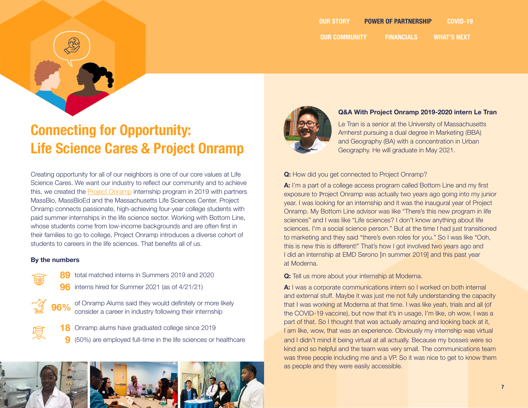

# **Connecting for Opportunity: Life Science Cares & Project Onramp**

Creating opportunity for all of our neighbors is one of our core values at Life Science Cares. We want our industry to reflect our community and to achieve this, we created the [Project Onramp](https://projectonrampma.com/) internship program in 2019 with partners MassBio, MassBioEd and the Massachusetts Life Sciences Center. Project Onramp connects passionate, high-achieving four-year college students with paid summer internships in the life science sector. Working with Bottom Line, whose students come from low-income backgrounds and are often first in their families to go to college, Project Onramp introduces a diverse cohort of students to careers in the life sciences. That benefits all of us.

### **By the numbers**

 $\mathscr{G}$ 

- **89** total matched interns in Summers 2019 and 2020
- **96** interns hired for Summer 2021 (as of 4/21/21)
- of Onramp Alums said they would definitely or more likely consider a career in industry following their internship **96%**
	- **18** Onramp alums have graduated college since 2019 (50%) are employed full-time in the life sciences or healthcare **9**





## **Q&A With Project Onramp 2019-2020 intern Le Tran**

Le Tran is a senior at the University of Massachusetts Amherst pursuing a dual degree in Marketing (BBA) and Geography (BA) with a concentration in Urban Geography. He will graduate in May 2021.

## **Q:** How did you get connected to Project Onramp?

**A:** I'm a part of a college access program called Bottom Line and my first exposure to Project Onramp was actually two years ago going into my junior year. I was looking for an internship and it was the inaugural year of Project Onramp. My Bottom Line advisor was like "There's this new program in life sciences" and I was like "Life sciences? I don't know anything about life sciences. I'm a social science person." But at the time I had just transitioned to marketing and they said "there's even roles for you." So I was like "Ooh, this is new this is different!" That's how I got involved two years ago and I did an internship at EMD Serono [in summer 2019] and this past year at Moderna.

**Q:** Tell us more about your internship at Moderna.

**A:** I was a corporate communications intern so I worked on both internal and external stuff. Maybe it was just me not fully understanding the capacity that I was working at Moderna at that time. I was like yeah, trials and all (of the COVID-19 vaccine), but now that it's in usage, I'm like, oh wow, I was a part of that. So I thought that was actually amazing and looking back at it, I am like, wow, that was an experience. Obviously my internship was virtual and I didn't mind it being virtual at all actually. Because my bosses were so kind and so helpful and the team was very small. The communications team was three people including me and a VP. So it was nice to get to know them as people and they were easily accessible.